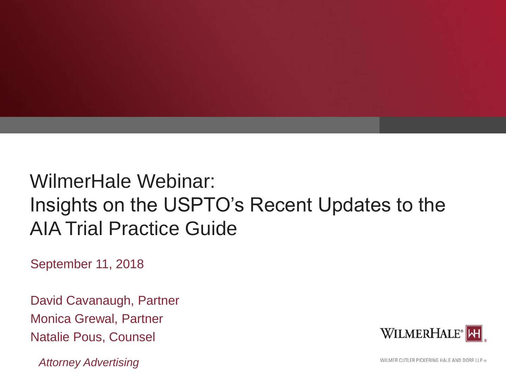

# WilmerHale Webinar: Insights on the USPTO's Recent Updates to the AIA Trial Practice Guide

September 11, 2018

David Cavanaugh, Partner Monica Grewal, Partner Natalie Pous, Counsel

*Attorney Advertising*

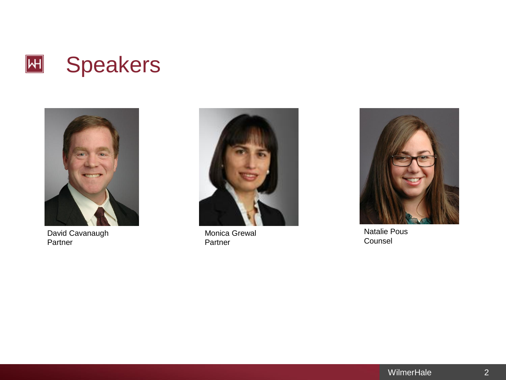



David Cavanaugh Partner



Monica Grewal Partner



Natalie Pous Counsel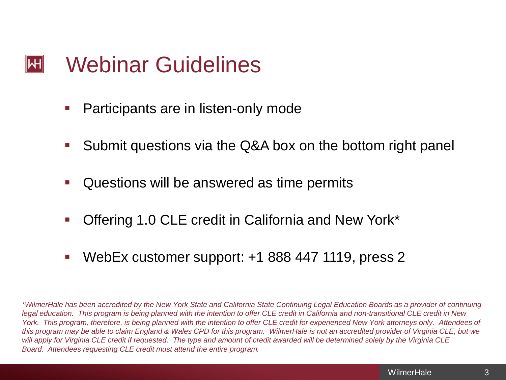### Webinar Guidelines  $\left\Vert \mathsf{H}\right\Vert$

- Participants are in listen-only mode
- Submit questions via the Q&A box on the bottom right panel
- Questions will be answered as time permits
- Offering 1.0 CLE credit in California and New York\*
- WebEx customer support: +1 888 447 1119, press 2

*\*WilmerHale has been accredited by the New York State and California State Continuing Legal Education Boards as a provider of continuing legal education. This program is being planned with the intention to offer CLE credit in California and non-transitional CLE credit in New York. This program, therefore, is being planned with the intention to offer CLE credit for experienced New York attorneys only. Attendees of this program may be able to claim England & Wales CPD for this program. WilmerHale is not an accredited provider of Virginia CLE, but we will apply for Virginia CLE credit if requested. The type and amount of credit awarded will be determined solely by the Virginia CLE Board. Attendees requesting CLE credit must attend the entire program.*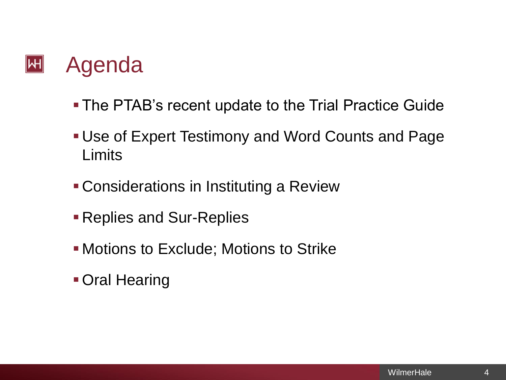### $|\mathsf{H}|$ Agenda

- **The PTAB's recent update to the Trial Practice Guide**
- **Use of Expert Testimony and Word Counts and Page Limits**
- Considerations in Instituting a Review
- **Replies and Sur-Replies**
- **. Motions to Exclude; Motions to Strike**
- **Oral Hearing**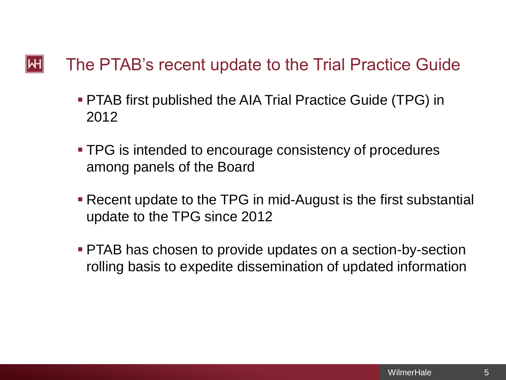#### $\mathsf{|\mathsf{H}|}$ The PTAB's recent update to the Trial Practice Guide

- PTAB first published the AIA Trial Practice Guide (TPG) in 2012
- TPG is intended to encourage consistency of procedures among panels of the Board
- Recent update to the TPG in mid-August is the first substantial update to the TPG since 2012
- PTAB has chosen to provide updates on a section-by-section rolling basis to expedite dissemination of updated information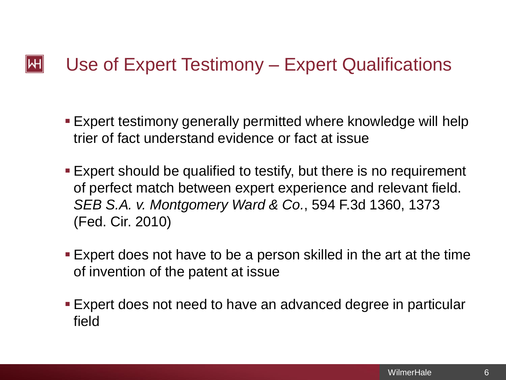#### $\mathsf{|\mathsf{H}|}$ Use of Expert Testimony – Expert Qualifications

- Expert testimony generally permitted where knowledge will help trier of fact understand evidence or fact at issue
- **Expert should be qualified to testify, but there is no requirement** of perfect match between expert experience and relevant field. *SEB S.A. v. Montgomery Ward & Co.*, 594 F.3d 1360, 1373 (Fed. Cir. 2010)
- **Expert does not have to be a person skilled in the art at the time** of invention of the patent at issue
- Expert does not need to have an advanced degree in particular field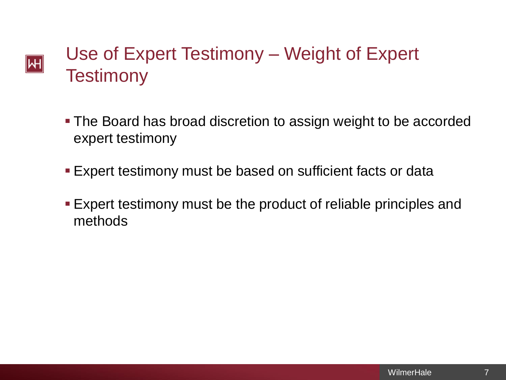## Use of Expert Testimony – Weight of Expert  $|\mathsf{H}|$ **Testimony**

- **The Board has broad discretion to assign weight to be accorded** expert testimony
- **Expert testimony must be based on sufficient facts or data**
- **Expert testimony must be the product of reliable principles and** methods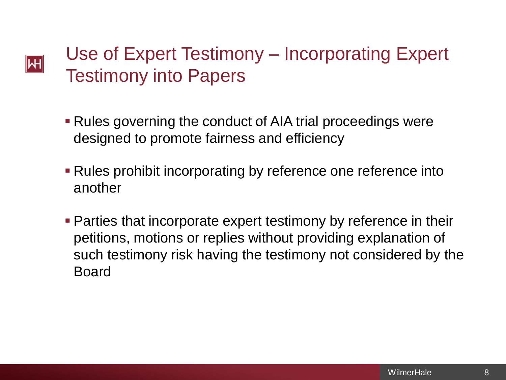# Use of Expert Testimony – Incorporating Expert Testimony into Papers

 $|\!|\mathsf{W}|\!|$ 

- **Rules governing the conduct of AIA trial proceedings were** designed to promote fairness and efficiency
- **Rules prohibit incorporating by reference one reference into** another
- **Parties that incorporate expert testimony by reference in their** petitions, motions or replies without providing explanation of such testimony risk having the testimony not considered by the Board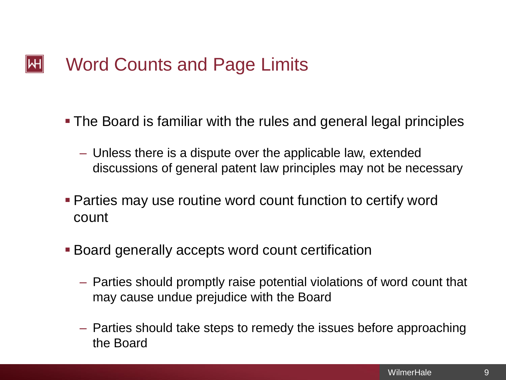#### Word Counts and Page Limits  $\left\Vert \mathsf{H}\right\Vert$

- The Board is familiar with the rules and general legal principles
	- Unless there is a dispute over the applicable law, extended discussions of general patent law principles may not be necessary
- Parties may use routine word count function to certify word count
- **Board generally accepts word count certification** 
	- Parties should promptly raise potential violations of word count that may cause undue prejudice with the Board
	- Parties should take steps to remedy the issues before approaching the Board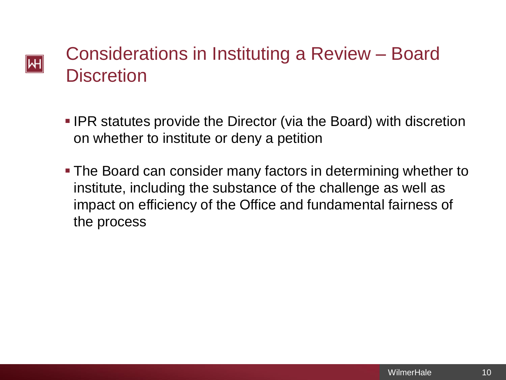## Considerations in Instituting a Review – Board Μ **Discretion**

- **IPR statutes provide the Director (via the Board) with discretion** on whether to institute or deny a petition
- **The Board can consider many factors in determining whether to** institute, including the substance of the challenge as well as impact on efficiency of the Office and fundamental fairness of the process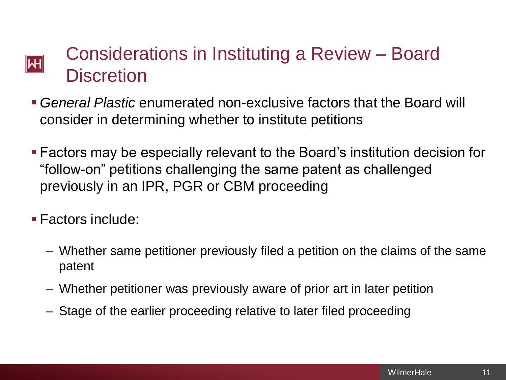## Considerations in Instituting a Review – Board Μ **Discretion**

- *General Plastic* enumerated non-exclusive factors that the Board will consider in determining whether to institute petitions
- Factors may be especially relevant to the Board's institution decision for "follow-on" petitions challenging the same patent as challenged previously in an IPR, PGR or CBM proceeding
- Factors include:
	- Whether same petitioner previously filed a petition on the claims of the same patent
	- Whether petitioner was previously aware of prior art in later petition
	- Stage of the earlier proceeding relative to later filed proceeding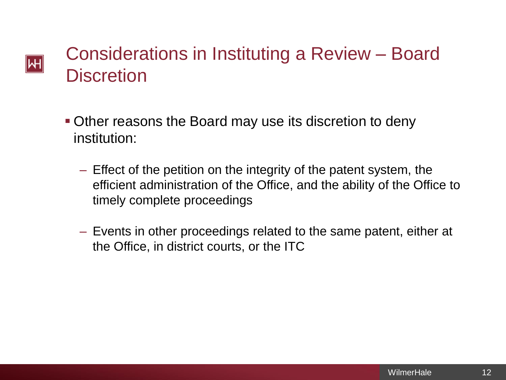## Considerations in Instituting a Review – Board Μ **Discretion**

- **Other reasons the Board may use its discretion to deny** institution:
	- Effect of the petition on the integrity of the patent system, the efficient administration of the Office, and the ability of the Office to timely complete proceedings
	- Events in other proceedings related to the same patent, either at the Office, in district courts, or the ITC

12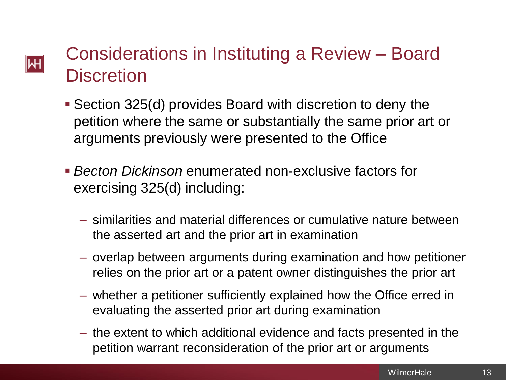# Μ

# Considerations in Instituting a Review – Board **Discretion**

- Section 325(d) provides Board with discretion to deny the petition where the same or substantially the same prior art or arguments previously were presented to the Office
- *Becton Dickinson* enumerated non-exclusive factors for exercising 325(d) including:
	- similarities and material differences or cumulative nature between the asserted art and the prior art in examination
	- overlap between arguments during examination and how petitioner relies on the prior art or a patent owner distinguishes the prior art
	- whether a petitioner sufficiently explained how the Office erred in evaluating the asserted prior art during examination
	- the extent to which additional evidence and facts presented in the petition warrant reconsideration of the prior art or arguments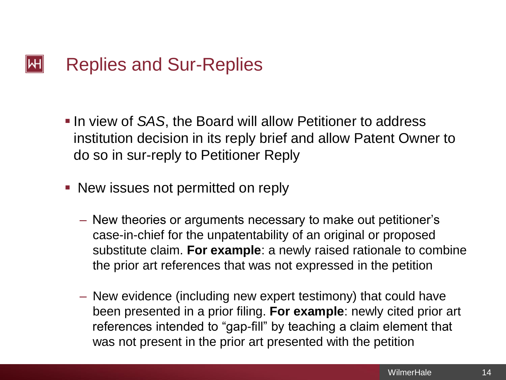#### $\mathsf{|\mathsf{H}|}$ Replies and Sur-Replies

- **. In view of SAS, the Board will allow Petitioner to address** institution decision in its reply brief and allow Patent Owner to do so in sur-reply to Petitioner Reply
- New issues not permitted on reply
	- New theories or arguments necessary to make out petitioner's case-in-chief for the unpatentability of an original or proposed substitute claim. **For example**: a newly raised rationale to combine the prior art references that was not expressed in the petition
	- New evidence (including new expert testimony) that could have been presented in a prior filing. **For example**: newly cited prior art references intended to "gap-fill" by teaching a claim element that was not present in the prior art presented with the petition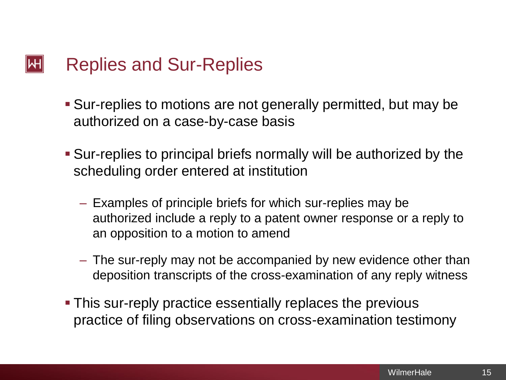#### $\mathsf{|\mathsf{H}|}$ Replies and Sur-Replies

- **E** Sur-replies to motions are not generally permitted, but may be authorized on a case-by-case basis
- Sur-replies to principal briefs normally will be authorized by the scheduling order entered at institution
	- Examples of principle briefs for which sur-replies may be authorized include a reply to a patent owner response or a reply to an opposition to a motion to amend
	- The sur-reply may not be accompanied by new evidence other than deposition transcripts of the cross-examination of any reply witness
- **This sur-reply practice essentially replaces the previous** practice of filing observations on cross-examination testimony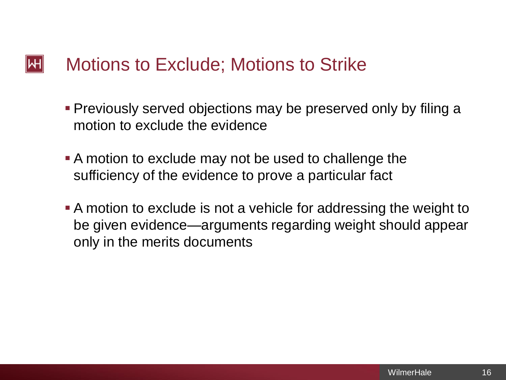#### $\left\Vert \mathsf{H}\right\Vert$ Motions to Exclude; Motions to Strike

- Previously served objections may be preserved only by filing a motion to exclude the evidence
- A motion to exclude may not be used to challenge the sufficiency of the evidence to prove a particular fact
- A motion to exclude is not a vehicle for addressing the weight to be given evidence—arguments regarding weight should appear only in the merits documents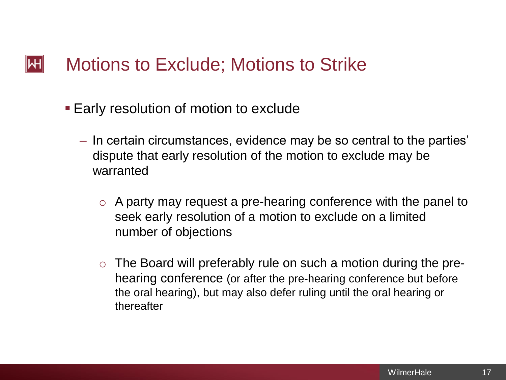#### Motions to Exclude; Motions to Strike  $\mathsf{|\mathsf{H}|}$

- Early resolution of motion to exclude
	- In certain circumstances, evidence may be so central to the parties' dispute that early resolution of the motion to exclude may be warranted
		- o A party may request a pre-hearing conference with the panel to seek early resolution of a motion to exclude on a limited number of objections
		- $\circ$  The Board will preferably rule on such a motion during the prehearing conference (or after the pre-hearing conference but before the oral hearing), but may also defer ruling until the oral hearing or thereafter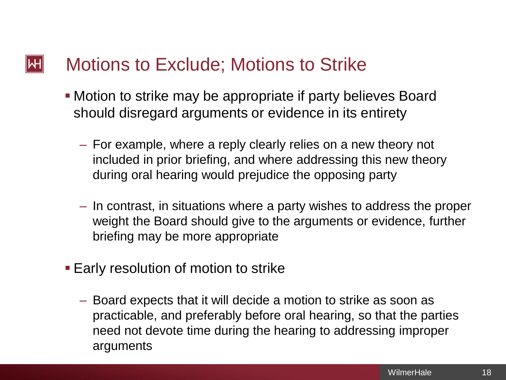#### $|\mathsf{H}|$ Motions to Exclude; Motions to Strike

- **Motion to strike may be appropriate if party believes Board** should disregard arguments or evidence in its entirety
	- For example, where a reply clearly relies on a new theory not included in prior briefing, and where addressing this new theory during oral hearing would prejudice the opposing party
	- In contrast, in situations where a party wishes to address the proper weight the Board should give to the arguments or evidence, further briefing may be more appropriate
- **Early resolution of motion to strike** 
	- Board expects that it will decide a motion to strike as soon as practicable, and preferably before oral hearing, so that the parties need not devote time during the hearing to addressing improper arguments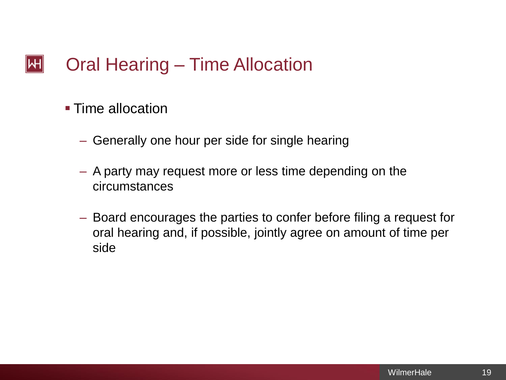#### Oral Hearing – Time Allocation  $\mathsf{|\mathsf{H}|}$

- Time allocation
	- Generally one hour per side for single hearing
	- A party may request more or less time depending on the circumstances
	- Board encourages the parties to confer before filing a request for oral hearing and, if possible, jointly agree on amount of time per side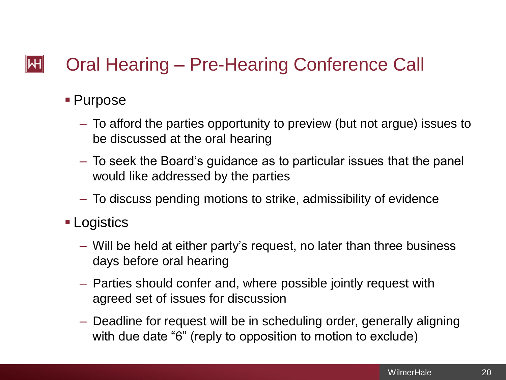#### Oral Hearing – Pre-Hearing Conference Call  $\mathsf{|\mathsf{H}|}$

## ■ Purpose

- To afford the parties opportunity to preview (but not argue) issues to be discussed at the oral hearing
- To seek the Board's guidance as to particular issues that the panel would like addressed by the parties
- To discuss pending motions to strike, admissibility of evidence
- Logistics
	- Will be held at either party's request, no later than three business days before oral hearing
	- Parties should confer and, where possible jointly request with agreed set of issues for discussion
	- Deadline for request will be in scheduling order, generally aligning with due date "6" (reply to opposition to motion to exclude)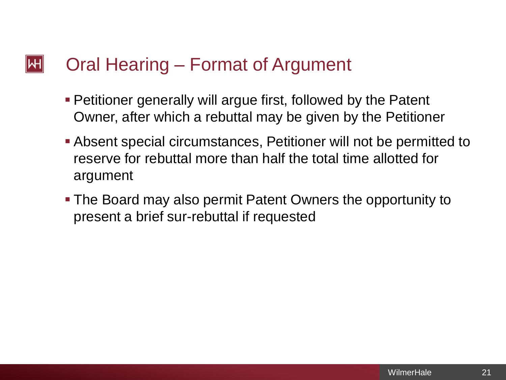#### $\left\Vert \mathsf{H}\right\Vert$ Oral Hearing – Format of Argument

- **Petitioner generally will argue first, followed by the Patent** Owner, after which a rebuttal may be given by the Petitioner
- Absent special circumstances, Petitioner will not be permitted to reserve for rebuttal more than half the total time allotted for argument
- The Board may also permit Patent Owners the opportunity to present a brief sur-rebuttal if requested

21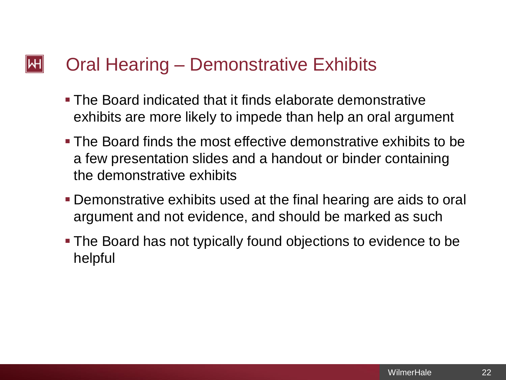#### $\mathsf{|\mathsf{H}|}$ Oral Hearing – Demonstrative Exhibits

- **The Board indicated that it finds elaborate demonstrative** exhibits are more likely to impede than help an oral argument
- The Board finds the most effective demonstrative exhibits to be a few presentation slides and a handout or binder containing the demonstrative exhibits
- Demonstrative exhibits used at the final hearing are aids to oral argument and not evidence, and should be marked as such
- **The Board has not typically found objections to evidence to be** helpful

22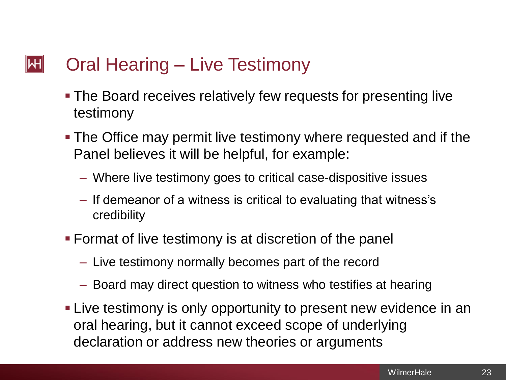#### $\left\Vert \mathsf{H}\right\Vert$ Oral Hearing – Live Testimony

- The Board receives relatively few requests for presenting live testimony
- The Office may permit live testimony where requested and if the Panel believes it will be helpful, for example:
	- Where live testimony goes to critical case-dispositive issues
	- If demeanor of a witness is critical to evaluating that witness's credibility
- Format of live testimony is at discretion of the panel
	- Live testimony normally becomes part of the record
	- Board may direct question to witness who testifies at hearing
- **Example 1** Live testimony is only opportunity to present new evidence in an oral hearing, but it cannot exceed scope of underlying declaration or address new theories or arguments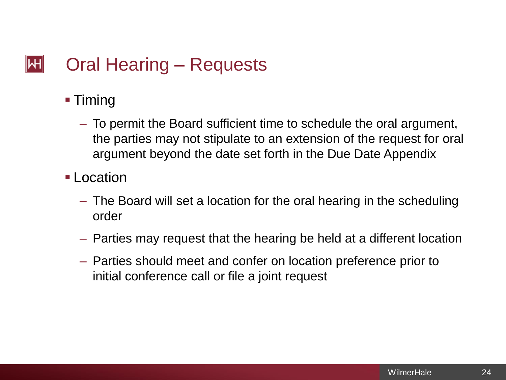#### Oral Hearing – Requests  $\mathsf{|\mathsf{H}|}$

- Timing
	- To permit the Board sufficient time to schedule the oral argument, the parties may not stipulate to an extension of the request for oral argument beyond the date set forth in the Due Date Appendix
- Location
	- The Board will set a location for the oral hearing in the scheduling order
	- Parties may request that the hearing be held at a different location
	- Parties should meet and confer on location preference prior to initial conference call or file a joint request

24